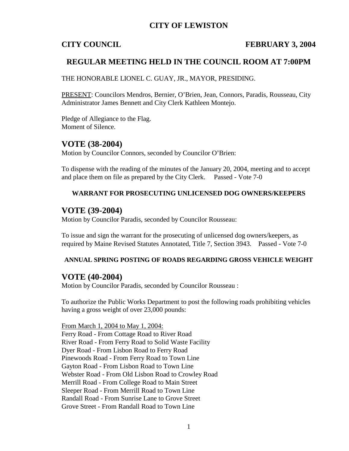## **CITY OF LEWISTON**

## **CITY COUNCIL FEBRUARY 3, 2004**

## **REGULAR MEETING HELD IN THE COUNCIL ROOM AT 7:00PM**

THE HONORABLE LIONEL C. GUAY, JR., MAYOR, PRESIDING.

PRESENT: Councilors Mendros, Bernier, O'Brien, Jean, Connors, Paradis, Rousseau, City Administrator James Bennett and City Clerk Kathleen Montejo.

Pledge of Allegiance to the Flag. Moment of Silence.

## **VOTE (38-2004)**

Motion by Councilor Connors, seconded by Councilor O'Brien:

To dispense with the reading of the minutes of the January 20, 2004, meeting and to accept and place them on file as prepared by the City Clerk. Passed - Vote 7-0

### **WARRANT FOR PROSECUTING UNLICENSED DOG OWNERS/KEEPERS**

## **VOTE (39-2004)**

Motion by Councilor Paradis, seconded by Councilor Rousseau:

To issue and sign the warrant for the prosecuting of unlicensed dog owners/keepers, as required by Maine Revised Statutes Annotated, Title 7, Section 3943. Passed - Vote 7-0

### **ANNUAL SPRING POSTING OF ROADS REGARDING GROSS VEHICLE WEIGHT**

## **VOTE (40-2004)**

Motion by Councilor Paradis, seconded by Councilor Rousseau :

To authorize the Public Works Department to post the following roads prohibiting vehicles having a gross weight of over 23,000 pounds:

From March 1, 2004 to May 1, 2004: Ferry Road - From Cottage Road to River Road River Road - From Ferry Road to Solid Waste Facility Dyer Road - From Lisbon Road to Ferry Road Pinewoods Road - From Ferry Road to Town Line Gayton Road - From Lisbon Road to Town Line Webster Road - From Old Lisbon Road to Crowley Road Merrill Road - From College Road to Main Street Sleeper Road - From Merrill Road to Town Line Randall Road - From Sunrise Lane to Grove Street Grove Street - From Randall Road to Town Line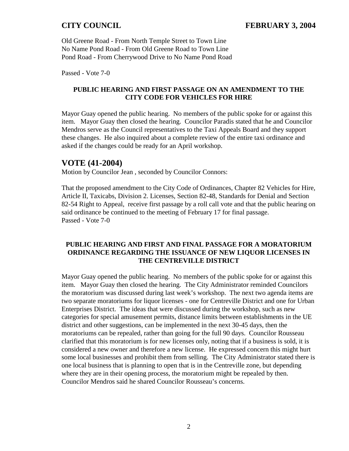Old Greene Road - From North Temple Street to Town Line No Name Pond Road - From Old Greene Road to Town Line Pond Road - From Cherrywood Drive to No Name Pond Road

Passed - Vote 7-0

## **PUBLIC HEARING AND FIRST PASSAGE ON AN AMENDMENT TO THE CITY CODE FOR VEHICLES FOR HIRE**

Mayor Guay opened the public hearing. No members of the public spoke for or against this item. Mayor Guay then closed the hearing. Councilor Paradis stated that he and Councilor Mendros serve as the Council representatives to the Taxi Appeals Board and they support these changes. He also inquired about a complete review of the entire taxi ordinance and asked if the changes could be ready for an April workshop.

## **VOTE (41-2004)**

Motion by Councilor Jean , seconded by Councilor Connors:

That the proposed amendment to the City Code of Ordinances, Chapter 82 Vehicles for Hire, Article II, Taxicabs, Division 2. Licenses, Section 82-48, Standards for Denial and Section 82-54 Right to Appeal, receive first passage by a roll call vote and that the public hearing on said ordinance be continued to the meeting of February 17 for final passage. Passed - Vote 7-0

## **PUBLIC HEARING AND FIRST AND FINAL PASSAGE FOR A MORATORIUM ORDINANCE REGARDING THE ISSUANCE OF NEW LIQUOR LICENSES IN THE CENTREVILLE DISTRICT**

Mayor Guay opened the public hearing. No members of the public spoke for or against this item. Mayor Guay then closed the hearing. The City Administrator reminded Councilors the moratorium was discussed during last week's workshop. The next two agenda items are two separate moratoriums for liquor licenses - one for Centreville District and one for Urban Enterprises District. The ideas that were discussed during the workshop, such as new categories for special amusement permits, distance limits between establishments in the UE district and other suggestions, can be implemented in the next 30-45 days, then the moratoriums can be repealed, rather than going for the full 90 days. Councilor Rousseau clarified that this moratorium is for new licenses only, noting that if a business is sold, it is considered a new owner and therefore a new license. He expressed concern this might hurt some local businesses and prohibit them from selling. The City Administrator stated there is one local business that is planning to open that is in the Centreville zone, but depending where they are in their opening process, the moratorium might be repealed by then. Councilor Mendros said he shared Councilor Rousseau's concerns.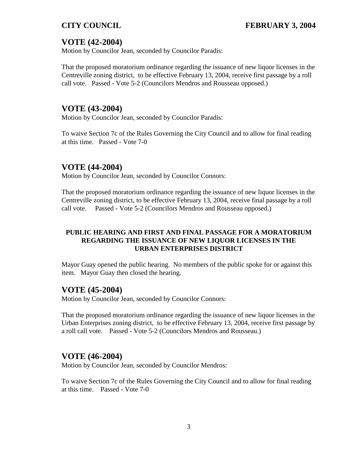# **VOTE (42-2004)**

Motion by Councilor Jean, seconded by Councilor Paradis:

That the proposed moratorium ordinance regarding the issuance of new liquor licenses in the Centreville zoning district, to be effective February 13, 2004, receive first passage by a roll call vote. Passed - Vote 5-2 (Councilors Mendros and Rousseau opposed.)

# **VOTE (43-2004)**

Motion by Councilor Jean, seconded by Councilor Paradis:

To waive Section 7c of the Rules Governing the City Council and to allow for final reading at this time. Passed - Vote 7-0

# **VOTE (44-2004)**

Motion by Councilor Jean, seconded by Councilor Connors:

That the proposed moratorium ordinance regarding the issuance of new liquor licenses in the Centreville zoning district, to be effective February 13, 2004, receive final passage by a roll call vote. Passed - Vote 5-2 (Councilors Mendros and Rousseau opposed.)

## **PUBLIC HEARING AND FIRST AND FINAL PASSAGE FOR A MORATORIUM REGARDING THE ISSUANCE OF NEW LIQUOR LICENSES IN THE URBAN ENTERPRISES DISTRICT**

Mayor Guay opened the public hearing. No members of the public spoke for or against this item. Mayor Guay then closed the hearing.

# **VOTE (45-2004)**

Motion by Councilor Jean, seconded by Councilor Connors:

That the proposed moratorium ordinance regarding the issuance of new liquor licenses in the Urban Enterprises zoning district, to be effective February 13, 2004, receive first passage by a roll call vote. Passed - Vote 5-2 (Councilors Mendros and Rousseau.)

# **VOTE (46-2004)**

Motion by Councilor Jean, seconded by Councilor Mendros:

To waive Section 7c of the Rules Governing the City Council and to allow for final reading at this time. Passed - Vote 7-0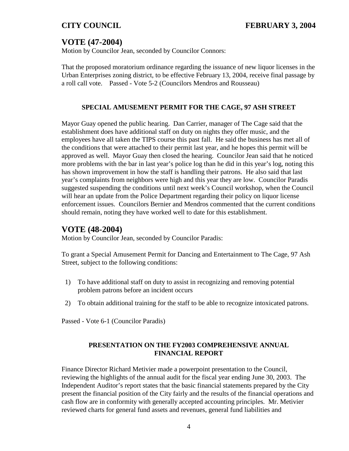# **VOTE (47-2004)**

Motion by Councilor Jean, seconded by Councilor Connors:

That the proposed moratorium ordinance regarding the issuance of new liquor licenses in the Urban Enterprises zoning district, to be effective February 13, 2004, receive final passage by a roll call vote. Passed - Vote 5-2 (Councilors Mendros and Rousseau)

## **SPECIAL AMUSEMENT PERMIT FOR THE CAGE, 97 ASH STREET**

Mayor Guay opened the public hearing. Dan Carrier, manager of The Cage said that the establishment does have additional staff on duty on nights they offer music, and the employees have all taken the TIPS course this past fall. He said the business has met all of the conditions that were attached to their permit last year, and he hopes this permit will be approved as well. Mayor Guay then closed the hearing. Councilor Jean said that he noticed more problems with the bar in last year's police log than he did in this year's log, noting this has shown improvement in how the staff is handling their patrons. He also said that last year's complaints from neighbors were high and this year they are low. Councilor Paradis suggested suspending the conditions until next week's Council workshop, when the Council will hear an update from the Police Department regarding their policy on liquor license enforcement issues. Councilors Bernier and Mendros commented that the current conditions should remain, noting they have worked well to date for this establishment.

# **VOTE (48-2004)**

Motion by Councilor Jean, seconded by Councilor Paradis:

To grant a Special Amusement Permit for Dancing and Entertainment to The Cage, 97 Ash Street, subject to the following conditions:

- 1) To have additional staff on duty to assist in recognizing and removing potential problem patrons before an incident occurs
- 2) To obtain additional training for the staff to be able to recognize intoxicated patrons.

Passed - Vote 6-1 (Councilor Paradis)

## **PRESENTATION ON THE FY2003 COMPREHENSIVE ANNUAL FINANCIAL REPORT**

Finance Director Richard Metivier made a powerpoint presentation to the Council, reviewing the highlights of the annual audit for the fiscal year ending June 30, 2003. The Independent Auditor's report states that the basic financial statements prepared by the City present the financial position of the City fairly and the results of the financial operations and cash flow are in conformity with generally accepted accounting principles. Mr. Metivier reviewed charts for general fund assets and revenues, general fund liabilities and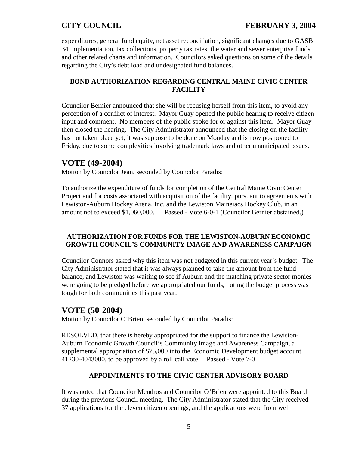expenditures, general fund equity, net asset reconciliation, significant changes due to GASB 34 implementation, tax collections, property tax rates, the water and sewer enterprise funds and other related charts and information. Councilors asked questions on some of the details regarding the City's debt load and undesignated fund balances.

## **BOND AUTHORIZATION REGARDING CENTRAL MAINE CIVIC CENTER FACILITY**

Councilor Bernier announced that she will be recusing herself from this item, to avoid any perception of a conflict of interest. Mayor Guay opened the public hearing to receive citizen input and comment. No members of the public spoke for or against this item. Mayor Guay then closed the hearing. The City Administrator announced that the closing on the facility has not taken place yet, it was suppose to be done on Monday and is now postponed to Friday, due to some complexities involving trademark laws and other unanticipated issues.

# **VOTE (49-2004)**

Motion by Councilor Jean, seconded by Councilor Paradis:

To authorize the expenditure of funds for completion of the Central Maine Civic Center Project and for costs associated with acquisition of the facility, pursuant to agreements with Lewiston-Auburn Hockey Arena, Inc. and the Lewiston Maineiacs Hockey Club, in an amount not to exceed \$1,060,000. Passed - Vote 6-0-1 (Councilor Bernier abstained.)

## **AUTHORIZATION FOR FUNDS FOR THE LEWISTON-AUBURN ECONOMIC GROWTH COUNCIL'S COMMUNITY IMAGE AND AWARENESS CAMPAIGN**

Councilor Connors asked why this item was not budgeted in this current year's budget. The City Administrator stated that it was always planned to take the amount from the fund balance, and Lewiston was waiting to see if Auburn and the matching private sector monies were going to be pledged before we appropriated our funds, noting the budget process was tough for both communities this past year.

# **VOTE (50-2004)**

Motion by Councilor O'Brien, seconded by Councilor Paradis:

RESOLVED, that there is hereby appropriated for the support to finance the Lewiston-Auburn Economic Growth Council's Community Image and Awareness Campaign, a supplemental appropriation of \$75,000 into the Economic Development budget account 41230-4043000, to be approved by a roll call vote. Passed - Vote 7-0

## **APPOINTMENTS TO THE CIVIC CENTER ADVISORY BOARD**

It was noted that Councilor Mendros and Councilor O'Brien were appointed to this Board during the previous Council meeting. The City Administrator stated that the City received 37 applications for the eleven citizen openings, and the applications were from well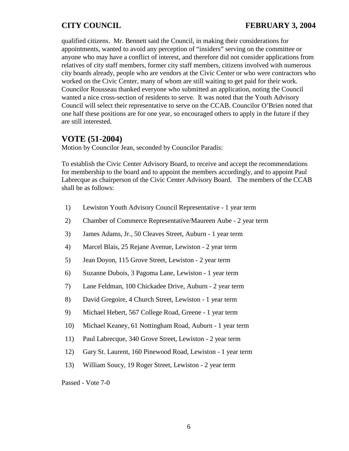qualified citizens. Mr. Bennett said the Council, in making their considerations for appointments, wanted to avoid any perception of "insiders" serving on the committee or anyone who may have a conflict of interest, and therefore did not consider applications from relatives of city staff members, former city staff members, citizens involved with numerous city boards already, people who are vendors at the Civic Center or who were contractors who worked on the Civic Center, many of whom are still waiting to get paid for their work. Councilor Rousseau thanked everyone who submitted an application, noting the Council wanted a nice cross-section of residents to serve. It was noted that the Youth Advisory Council will select their representative to serve on the CCAB. Councilor O'Brien noted that one half these positions are for one year, so encouraged others to apply in the future if they are still interested.

# **VOTE (51-2004)**

Motion by Councilor Jean, seconded by Councilor Paradis:

To establish the Civic Center Advisory Board, to receive and accept the recommendations for membership to the board and to appoint the members accordingly, and to appoint Paul Labrecque as chairperson of the Civic Center Advisory Board. The members of the CCAB shall be as follows:

- 1) Lewiston Youth Advisory Council Representative 1 year term
- 2) Chamber of Commerce Representative/Maureen Aube 2 year term
- 3) James Adams, Jr., 50 Cleaves Street, Auburn 1 year term
- 4) Marcel Blais, 25 Rejane Avenue, Lewiston 2 year term
- 5) Jean Doyon, 115 Grove Street, Lewiston 2 year term
- 6) Suzanne Dubois, 3 Pagoma Lane, Lewiston 1 year term
- 7) Lane Feldman, 100 Chickadee Drive, Auburn 2 year term
- 8) David Gregoire, 4 Church Street, Lewiston 1 year term
- 9) Michael Hebert, 567 College Road, Greene 1 year term
- 10) Michael Keaney, 61 Nottingham Road, Auburn 1 year term
- 11) Paul Labrecque, 340 Grove Street, Lewiston 2 year term
- 12) Gary St. Laurent, 160 Pinewood Road, Lewiston 1 year term
- 13) William Soucy, 19 Roger Street, Lewiston 2 year term

Passed - Vote 7-0